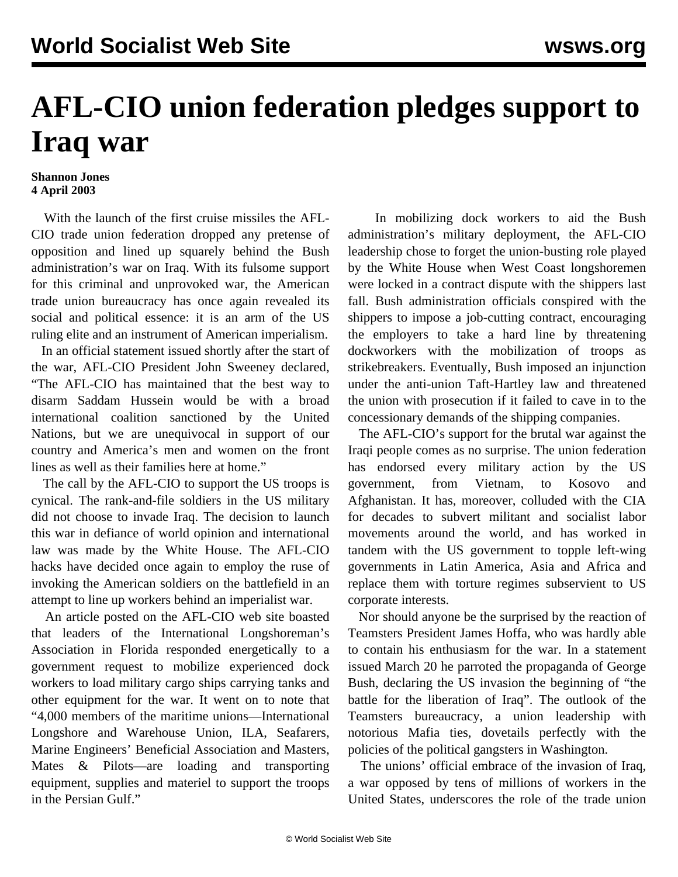## **AFL-CIO union federation pledges support to Iraq war**

## **Shannon Jones 4 April 2003**

 With the launch of the first cruise missiles the AFL-CIO trade union federation dropped any pretense of opposition and lined up squarely behind the Bush administration's war on Iraq. With its fulsome support for this criminal and unprovoked war, the American trade union bureaucracy has once again revealed its social and political essence: it is an arm of the US ruling elite and an instrument of American imperialism.

 In an official statement issued shortly after the start of the war, AFL-CIO President John Sweeney declared, "The AFL-CIO has maintained that the best way to disarm Saddam Hussein would be with a broad international coalition sanctioned by the United Nations, but we are unequivocal in support of our country and America's men and women on the front lines as well as their families here at home."

 The call by the AFL-CIO to support the US troops is cynical. The rank-and-file soldiers in the US military did not choose to invade Iraq. The decision to launch this war in defiance of world opinion and international law was made by the White House. The AFL-CIO hacks have decided once again to employ the ruse of invoking the American soldiers on the battlefield in an attempt to line up workers behind an imperialist war.

 An article posted on the AFL-CIO web site boasted that leaders of the International Longshoreman's Association in Florida responded energetically to a government request to mobilize experienced dock workers to load military cargo ships carrying tanks and other equipment for the war. It went on to note that "4,000 members of the maritime unions—International Longshore and Warehouse Union, ILA, Seafarers, Marine Engineers' Beneficial Association and Masters, Mates & Pilots—are loading and transporting equipment, supplies and materiel to support the troops in the Persian Gulf."

 In mobilizing dock workers to aid the Bush administration's military deployment, the AFL-CIO leadership chose to forget the union-busting role played by the White House when West Coast longshoremen were locked in a contract dispute with the shippers last fall. Bush administration officials conspired with the shippers to impose a job-cutting contract, encouraging the employers to take a hard line by threatening dockworkers with the mobilization of troops as strikebreakers. Eventually, Bush imposed an injunction under the anti-union Taft-Hartley law and threatened the union with prosecution if it failed to cave in to the concessionary demands of the shipping companies.

 The AFL-CIO's support for the brutal war against the Iraqi people comes as no surprise. The union federation has endorsed every military action by the US government, from Vietnam, to Kosovo and Afghanistan. It has, moreover, colluded with the CIA for decades to subvert militant and socialist labor movements around the world, and has worked in tandem with the US government to topple left-wing governments in Latin America, Asia and Africa and replace them with torture regimes subservient to US corporate interests.

 Nor should anyone be the surprised by the reaction of Teamsters President James Hoffa, who was hardly able to contain his enthusiasm for the war. In a statement issued March 20 he parroted the propaganda of George Bush, declaring the US invasion the beginning of "the battle for the liberation of Iraq". The outlook of the Teamsters bureaucracy, a union leadership with notorious Mafia ties, dovetails perfectly with the policies of the political gangsters in Washington.

 The unions' official embrace of the invasion of Iraq, a war opposed by tens of millions of workers in the United States, underscores the role of the trade union